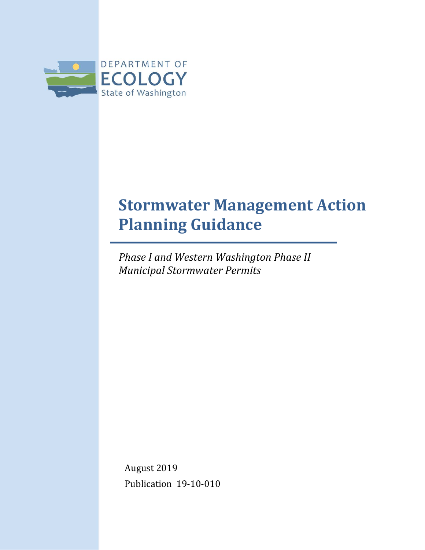

# **Stormwater Management Action Planning Guidance**

*Phase I and Western Washington Phase II Municipal Stormwater Permits*

August 2019 Publication 19-10-010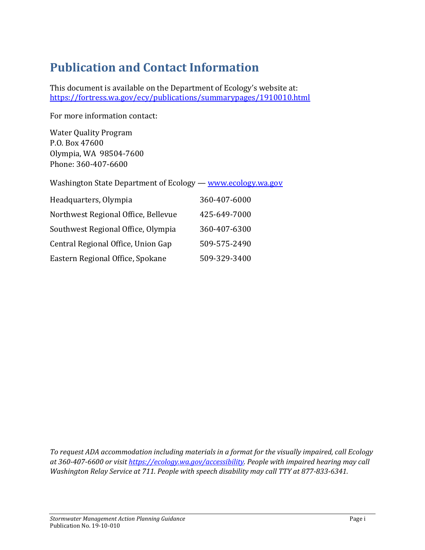## <span id="page-1-0"></span>**Publication and Contact Information**

This document is available on the Department of Ecology's website at: <https://fortress.wa.gov/ecy/publications/summarypages/1910010.html>

For more information contact:

Water Quality Program P.O. Box 47600 Olympia, WA 98504-7600 Phone: 360-407-6600

Washington State Department of Ecology — [www.ecology.wa.gov](https://www.ecology.wa.gov/)

| Headquarters, Olympia               | 360-407-6000 |
|-------------------------------------|--------------|
| Northwest Regional Office, Bellevue | 425-649-7000 |
| Southwest Regional Office, Olympia  | 360-407-6300 |
| Central Regional Office, Union Gap  | 509-575-2490 |
| Eastern Regional Office, Spokane    | 509-329-3400 |

*To request ADA accommodation including materials in a format for the visually impaired, call Ecology at 360-407-6600 or visi[t https://ecology.wa.gov/accessibility.](https://ecology.wa.gov/accessibility) People with impaired hearing may call Washington Relay Service at 711. People with speech disability may call TTY at 877-833-6341.*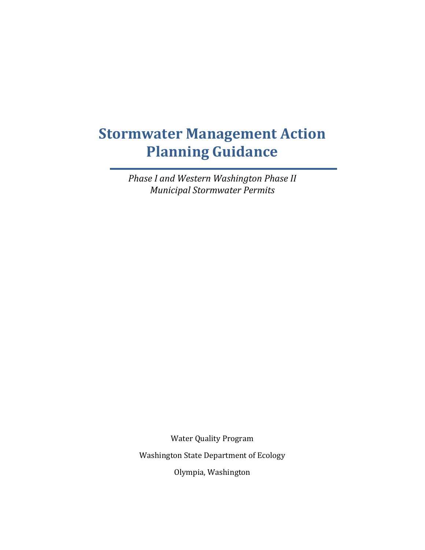## **Stormwater Management Action Planning Guidance**

*Phase I and Western Washington Phase II Municipal Stormwater Permits*

Water Quality Program

Washington State Department of Ecology

Olympia, Washington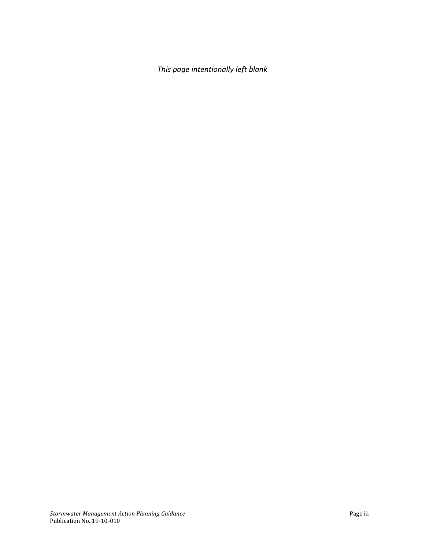*This page intentionally left blank*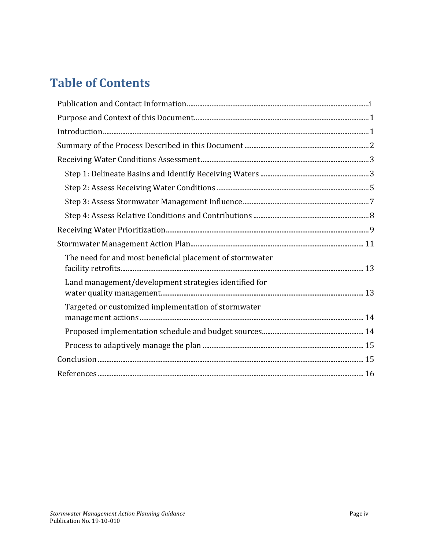## **Table of Contents**

| The need for and most beneficial placement of stormwater |
|----------------------------------------------------------|
| Land management/development strategies identified for    |
| Targeted or customized implementation of stormwater      |
|                                                          |
|                                                          |
|                                                          |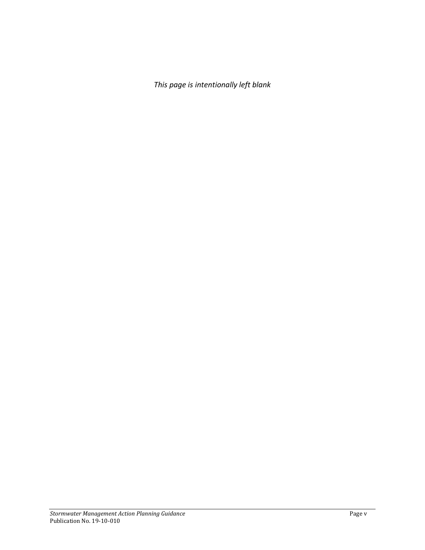*This page is intentionally left blank*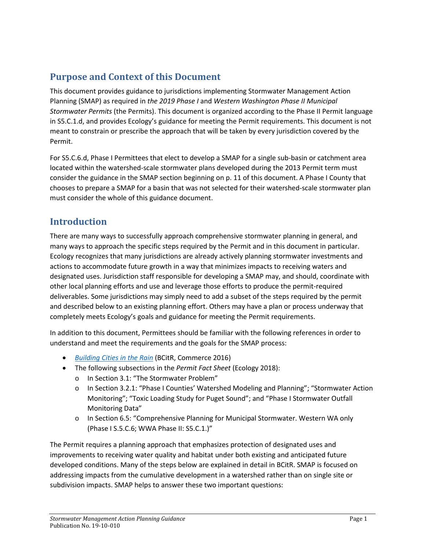## <span id="page-6-0"></span>**Purpose and Context of this Document**

This document provides guidance to jurisdictions implementing Stormwater Management Action Planning (SMAP) as required in *the 2019 Phase I* and *Western Washington Phase II Municipal Stormwater Permits* (the Permits). This document is organized according to the Phase II Permit language in S5.C.1.d, and provides Ecology's guidance for meeting the Permit requirements. This document is not meant to constrain or prescribe the approach that will be taken by every jurisdiction covered by the Permit.

For S5.C.6.d, Phase I Permittees that elect to develop a SMAP for a single sub-basin or catchment area located within the watershed-scale stormwater plans developed during the 2013 Permit term must consider the guidance in the SMAP section beginning on p[. 11](#page-16-0) of this document. A Phase I County that chooses to prepare a SMAP for a basin that was not selected for their watershed-scale stormwater plan must consider the whole of this guidance document.

## <span id="page-6-1"></span>**Introduction**

There are many ways to successfully approach comprehensive stormwater planning in general, and many ways to approach the specific steps required by the Permit and in this document in particular. Ecology recognizes that many jurisdictions are already actively planning stormwater investments and actions to accommodate future growth in a way that minimizes impacts to receiving waters and designated uses. Jurisdiction staff responsible for developing a SMAP may, and should, coordinate with other local planning efforts and use and leverage those efforts to produce the permit-required deliverables. Some jurisdictions may simply need to add a subset of the steps required by the permit and described below to an existing planning effort. Others may have a plan or process underway that completely meets Ecology's goals and guidance for meeting the Permit requirements.

In addition to this document, Permittees should be familiar with the following references in order to understand and meet the requirements and the goals for the SMAP process:

- *[Building Cities in the Rain](https://www.ezview.wa.gov/site/alias__1780/overview/34828/overview.aspx/)* (BCitR, Commerce 2016)
- The following subsections in the *Permit Fact Sheet* (Ecology 2018):
	- o In Section 3.1: "The Stormwater Problem"
	- o In Section 3.2.1: "Phase I Counties' Watershed Modeling and Planning"; "Stormwater Action Monitoring"; "Toxic Loading Study for Puget Sound"; and "Phase I Stormwater Outfall Monitoring Data"
	- o In Section 6.5: "Comprehensive Planning for Municipal Stormwater. Western WA only (Phase I S.5.C.6; WWA Phase II: S5.C.1.)"

The Permit requires a planning approach that emphasizes protection of designated uses and improvements to receiving water quality and habitat under both existing and anticipated future developed conditions. Many of the steps below are explained in detail in BCitR. SMAP is focused on addressing impacts from the cumulative development in a watershed rather than on single site or subdivision impacts. SMAP helps to answer these two important questions: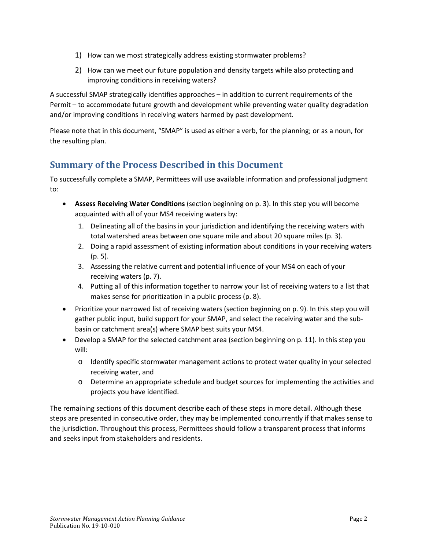- 1) How can we most strategically address existing stormwater problems?
- 2) How can we meet our future population and density targets while also protecting and improving conditions in receiving waters?

A successful SMAP strategically identifies approaches – in addition to current requirements of the Permit – to accommodate future growth and development while preventing water quality degradation and/or improving conditions in receiving waters harmed by past development.

Please note that in this document, "SMAP" is used as either a verb, for the planning; or as a noun, for the resulting plan.

## <span id="page-7-0"></span>**Summary of the Process Described in this Document**

To successfully complete a SMAP, Permittees will use available information and professional judgment to:

- **Assess Receiving Water Conditions** (section beginning on p[. 3\)](#page-7-1). In this step you will become acquainted with all of your MS4 receiving waters by:
	- 1. Delineating all of the basins in your jurisdiction and identifying the receiving waters with total watershed areas between one square mile and about 20 square miles (p. [3\)](#page-8-1).
	- 2. Doing a rapid assessment of existing information about conditions in your receiving waters (p. [5\)](#page-10-0).
	- 3. Assessing the relative current and potential influence of your MS4 on each of your receiving waters (p[. 7\)](#page-12-0).
	- 4. Putting all of this information together to narrow your list of receiving waters to a list that makes sense for prioritization in a public process (p. [8\)](#page-13-0).
- Prioritize your narrowed list of receiving waters (section beginning on p. [9\)](#page-14-0). In this step you will gather public input, build support for your SMAP, and select the receiving water and the subbasin or catchment area(s) where SMAP best suits your MS4.
- Develop a SMAP for the selected catchment area (section beginning on p. [11\)](#page-16-0). In this step you will:
	- o Identify specific stormwater management actions to protect water quality in your selected receiving water, and
	- o Determine an appropriate schedule and budget sources for implementing the activities and projects you have identified.

<span id="page-7-1"></span>The remaining sections of this document describe each of these steps in more detail. Although these steps are presented in consecutive order, they may be implemented concurrently if that makes sense to the jurisdiction. Throughout this process, Permittees should follow a transparent process that informs and seeks input from stakeholders and residents.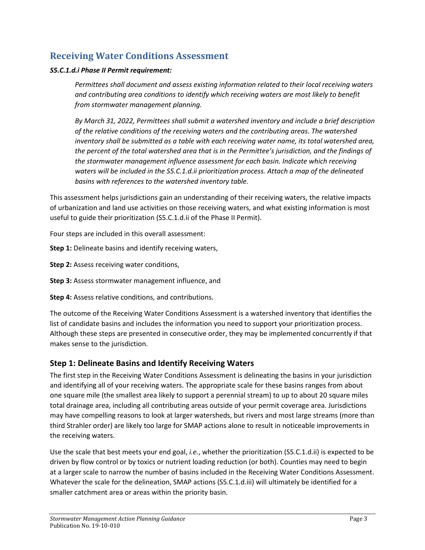## <span id="page-8-0"></span>**Receiving Water Conditions Assessment**

#### *S5.C.1.d.i Phase II Permit requirement:*

*Permittees shall document and assess existing information related to their local receiving waters and contributing area conditions to identify which receiving waters are most likely to benefit from stormwater management planning.*

*By March 31, 2022, Permittees shall submit a watershed inventory and include a brief description of the relative conditions of the receiving waters and the contributing areas. The watershed*  inventory shall be submitted as a table with each receiving water name, its total watershed area, *the percent of the total watershed area that is in the Permittee's jurisdiction, and the findings of the stormwater management influence assessment for each basin. Indicate which receiving waters will be included in the S5.C.1.d.ii prioritization process. Attach a map of the delineated basins with references to the watershed inventory table.*

This assessment helps jurisdictions gain an understanding of their receiving waters, the relative impacts of urbanization and land use activities on those receiving waters, and what existing information is most useful to guide their prioritization (S5.C.1.d.ii of the Phase II Permit).

Four steps are included in this overall assessment:

**Step 1:** Delineate basins and identify receiving waters,

**Step 2:** Assess receiving water conditions,

**Step 3:** Assess stormwater management influence, and

**Step 4:** Assess relative conditions, and contributions.

The outcome of the Receiving Water Conditions Assessment is a watershed inventory that identifies the list of candidate basins and includes the information you need to support your prioritization process. Although these steps are presented in consecutive order, they may be implemented concurrently if that makes sense to the jurisdiction.

#### <span id="page-8-1"></span>**Step 1: Delineate Basins and Identify Receiving Waters**

The first step in the Receiving Water Conditions Assessment is delineating the basins in your jurisdiction and identifying all of your receiving waters. The appropriate scale for these basins ranges from about one square mile (the smallest area likely to support a perennial stream) to up to about 20 square miles total drainage area, including all contributing areas outside of your permit coverage area. Jurisdictions may have compelling reasons to look at larger watersheds, but rivers and most large streams (more than third Strahler order) are likely too large for SMAP actions alone to result in noticeable improvements in the receiving waters.

Use the scale that best meets your end goal, *i.e.*, whether the prioritization (S5.C.1.d.ii) is expected to be driven by flow control or by toxics or nutrient loading reduction (or both). Counties may need to begin at a larger scale to narrow the number of basins included in the Receiving Water Conditions Assessment. Whatever the scale for the delineation, SMAP actions (S5.C.1.d.iii) will ultimately be identified for a smaller catchment area or areas within the priority basin.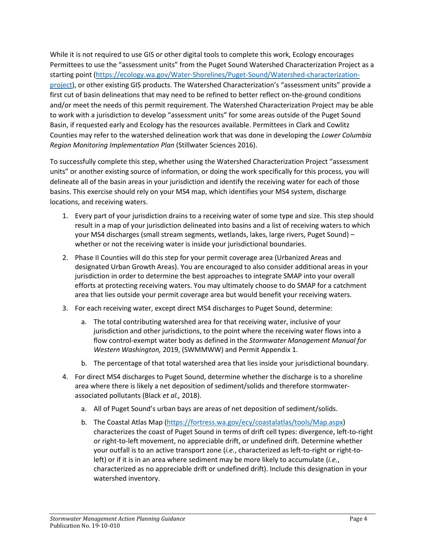While it is not required to use GIS or other digital tools to complete this work, Ecology encourages Permittees to use the "assessment units" from the Puget Sound Watershed Characterization Project as a starting point [\(https://ecology.wa.gov/Water-Shorelines/Puget-Sound/Watershed-characterization](https://ecology.wa.gov/Water-Shorelines/Puget-Sound/Watershed-characterization-project)[project\)](https://ecology.wa.gov/Water-Shorelines/Puget-Sound/Watershed-characterization-project), or other existing GIS products. The Watershed Characterization's "assessment units" provide a first cut of basin delineations that may need to be refined to better reflect on-the-ground conditions and/or meet the needs of this permit requirement. The Watershed Characterization Project may be able to work with a jurisdiction to develop "assessment units" for some areas outside of the Puget Sound Basin, if requested early and Ecology has the resources available. Permittees in Clark and Cowlitz Counties may refer to the watershed delineation work that was done in developing the *Lower Columbia Region Monitoring Implementation Plan* (Stillwater Sciences 2016).

To successfully complete this step, whether using the Watershed Characterization Project "assessment units" or another existing source of information, or doing the work specifically for this process, you will delineate all of the basin areas in your jurisdiction and identify the receiving water for each of those basins. This exercise should rely on your MS4 map, which identifies your MS4 system, discharge locations, and receiving waters.

- 1. Every part of your jurisdiction drains to a receiving water of some type and size. This step should result in a map of your jurisdiction delineated into basins and a list of receiving waters to which your MS4 discharges (small stream segments, wetlands, lakes, large rivers, Puget Sound) – whether or not the receiving water is inside your jurisdictional boundaries.
- 2. Phase II Counties will do this step for your permit coverage area (Urbanized Areas and designated Urban Growth Areas). You are encouraged to also consider additional areas in your jurisdiction in order to determine the best approaches to integrate SMAP into your overall efforts at protecting receiving waters. You may ultimately choose to do SMAP for a catchment area that lies outside your permit coverage area but would benefit your receiving waters.
- 3. For each receiving water, except direct MS4 discharges to Puget Sound, determine:
	- a. The total contributing watershed area for that receiving water, inclusive of your jurisdiction and other jurisdictions, to the point where the receiving water flows into a flow control-exempt water body as defined in the *Stormwater Management Manual for Western Washington,* 2019, (SWMMWW) and Permit Appendix 1.
	- b. The percentage of that total watershed area that lies inside your jurisdictional boundary.
- 4. For direct MS4 discharges to Puget Sound, determine whether the discharge is to a shoreline area where there is likely a net deposition of sediment/solids and therefore stormwaterassociated pollutants (Black *et al.,* 2018).
	- a. All of Puget Sound's urban bays are areas of net deposition of sediment/solids.
	- b. The Coastal Atlas Map [\(https://fortress.wa.gov/ecy/coastalatlas/tools/Map.aspx\)](https://fortress.wa.gov/ecy/coastalatlas/tools/Map.aspx) characterizes the coast of Puget Sound in terms of drift cell types: divergence, left-to-right or right-to-left movement, no appreciable drift, or undefined drift. Determine whether your outfall is to an active transport zone (*i.e.*, characterized as left-to-right or right-toleft) or if it is in an area where sediment may be more likely to accumulate (*i.e.*, characterized as no appreciable drift or undefined drift). Include this designation in your watershed inventory.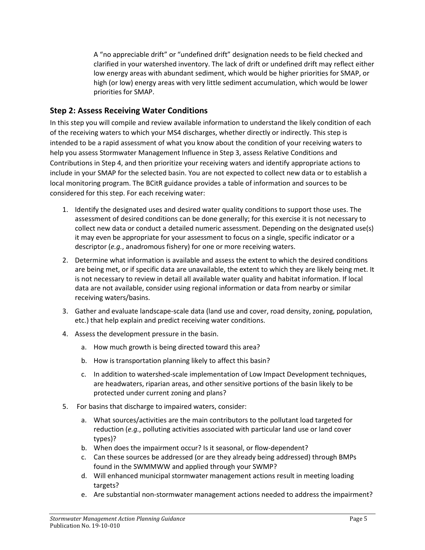A "no appreciable drift" or "undefined drift" designation needs to be field checked and clarified in your watershed inventory. The lack of drift or undefined drift may reflect either low energy areas with abundant sediment, which would be higher priorities for SMAP, or high (or low) energy areas with very little sediment accumulation, which would be lower priorities for SMAP.

### <span id="page-10-0"></span>**Step 2: Assess Receiving Water Conditions**

In this step you will compile and review available information to understand the likely condition of each of the receiving waters to which your MS4 discharges, whether directly or indirectly. This step is intended to be a rapid assessment of what you know about the condition of your receiving waters to help you assess Stormwater Management Influence in Step 3, assess Relative Conditions and Contributions in Step 4, and then prioritize your receiving waters and identify appropriate actions to include in your SMAP for the selected basin. You are not expected to collect new data or to establish a local monitoring program. The BCitR guidance provides a table of information and sources to be considered for this step. For each receiving water:

- 1. Identify the designated uses and desired water quality conditions to support those uses. The assessment of desired conditions can be done generally; for this exercise it is not necessary to collect new data or conduct a detailed numeric assessment. Depending on the designated use(s) it may even be appropriate for your assessment to focus on a single, specific indicator or a descriptor (*e.g.*, anadromous fishery) for one or more receiving waters.
- 2. Determine what information is available and assess the extent to which the desired conditions are being met, or if specific data are unavailable, the extent to which they are likely being met. It is not necessary to review in detail all available water quality and habitat information. If local data are not available, consider using regional information or data from nearby or similar receiving waters/basins.
- 3. Gather and evaluate landscape-scale data (land use and cover, road density, zoning, population, etc.) that help explain and predict receiving water conditions.
- 4. Assess the development pressure in the basin.
	- a. How much growth is being directed toward this area?
	- b. How is transportation planning likely to affect this basin?
	- c. In addition to watershed-scale implementation of Low Impact Development techniques, are headwaters, riparian areas, and other sensitive portions of the basin likely to be protected under current zoning and plans?
- 5. For basins that discharge to impaired waters, consider:
	- a. What sources/activities are the main contributors to the pollutant load targeted for reduction (*e.g.*, polluting activities associated with particular land use or land cover types)?
	- b. When does the impairment occur? Is it seasonal, or flow-dependent?
	- c. Can these sources be addressed (or are they already being addressed) through BMPs found in the SWMMWW and applied through your SWMP?
	- d. Will enhanced municipal stormwater management actions result in meeting loading targets?
	- e. Are substantial non-stormwater management actions needed to address the impairment?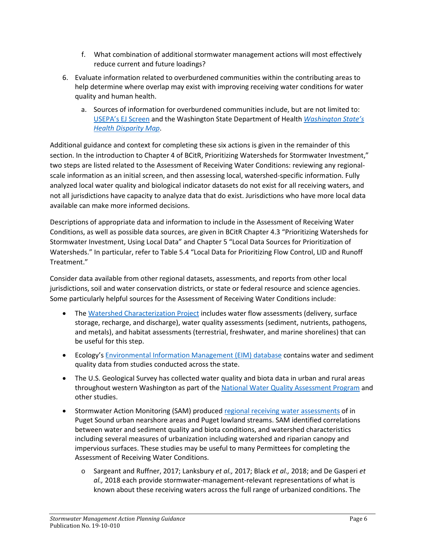- f. What combination of additional stormwater management actions will most effectively reduce current and future loadings?
- 6. Evaluate information related to overburdened communities within the contributing areas to help determine where overlap may exist with improving receiving water conditions for water quality and human health.
	- a. Sources of information for overburdened communities include, but are not limited to: [USEPA's EJ Screen](https://www.epa.gov/ejscreen) and the Washington State Department of Health *[Washington State's](https://fortress.wa.gov/doh/wtn/WTNIBL)  [Health Disparity Map](https://fortress.wa.gov/doh/wtn/WTNIBL)*.

Additional guidance and context for completing these six actions is given in the remainder of this section. In the introduction to Chapter 4 of BCitR, Prioritizing Watersheds for Stormwater Investment," two steps are listed related to the Assessment of Receiving Water Conditions: reviewing any regionalscale information as an initial screen, and then assessing local, watershed-specific information. Fully analyzed local water quality and biological indicator datasets do not exist for all receiving waters, and not all jurisdictions have capacity to analyze data that do exist. Jurisdictions who have more local data available can make more informed decisions.

Descriptions of appropriate data and information to include in the Assessment of Receiving Water Conditions, as well as possible data sources, are given in BCitR Chapter 4.3 "Prioritizing Watersheds for Stormwater Investment, Using Local Data" and Chapter 5 "Local Data Sources for Prioritization of Watersheds." In particular, refer to Table 5.4 "Local Data for Prioritizing Flow Control, LID and Runoff Treatment."

Consider data available from other regional datasets, assessments, and reports from other local jurisdictions, soil and water conservation districts, or state or federal resource and science agencies. Some particularly helpful sources for the Assessment of Receiving Water Conditions include:

- The [Watershed Characterization Project](https://ecology.wa.gov/Water-Shorelines/Puget-Sound/Watershed-characterization-project) includes water flow assessments (delivery, surface storage, recharge, and discharge), water quality assessments (sediment, nutrients, pathogens, and metals), and habitat assessments (terrestrial, freshwater, and marine shorelines) that can be useful for this step.
- Ecology's [Environmental Information Management \(EIM\) database](https://ecology.wa.gov/Research-Data/Data-resources/Environmental-Information-Management-database) contains water and sediment quality data from studies conducted across the state.
- The U.S. Geological Survey has collected water quality and biota data in urban and rural areas throughout western Washington as part of the [National Water Quality Assessment Program](https://www.usgs.gov/mission-areas/water-resources/science/national-water-quality-assessment-nawqa?qt-science_center_objects=0#qt-science_center_objects) and other studies.
- Stormwater Action Monitoring (SAM) produced [regional receiving water assessments](https://ecology.wa.gov/Regulations-Permits/Reporting-requirements/Stormwater-monitoring/Stormwater-Action-Monitoring/SAM-status-and-trends) of in Puget Sound urban nearshore areas and Puget lowland streams. SAM identified correlations between water and sediment quality and biota conditions, and watershed characteristics including several measures of urbanization including watershed and riparian canopy and impervious surfaces. These studies may be useful to many Permittees for completing the Assessment of Receiving Water Conditions.
	- o Sargeant and Ruffner, 2017; Lanksbury *et al.,* 2017; Black *et al.,* 2018; and De Gasperi *et al.,* 2018 each provide stormwater-management-relevant representations of what is known about these receiving waters across the full range of urbanized conditions. The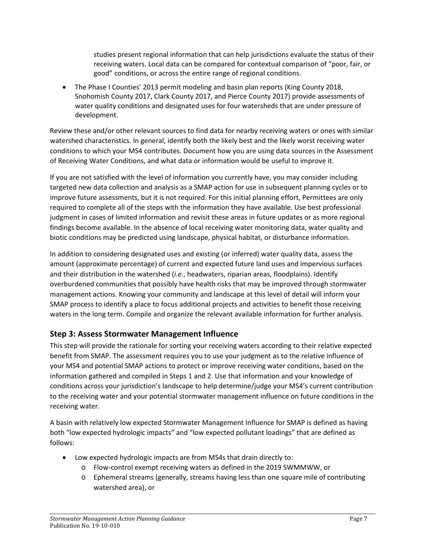studies present regional information that can help jurisdictions evaluate the status of their receiving waters. Local data can be compared for contextual comparison of "poor, fair, or good" conditions, or across the entire range of regional conditions.

• The Phase I Counties' 2013 permit modeling and basin plan reports (King County 2018, Snohomish County 2017, Clark County 2017, and Pierce County 2017) provide assessments of water quality conditions and designated uses for four watersheds that are under pressure of development.

Review these and/or other relevant sources to find data for nearby receiving waters or ones with similar watershed characteristics. In general, identify both the likely best and the likely worst receiving water conditions to which your MS4 contributes. Document how you are using data sources in the Assessment of Receiving Water Conditions, and what data or information would be useful to improve it.

If you are not satisfied with the level of information you currently have, you may consider including targeted new data collection and analysis as a SMAP action for use in subsequent planning cycles or to improve future assessments, but it is not required. For this initial planning effort, Permittees are only required to complete all of the steps with the information they have available. Use best professional judgment in cases of limited information and revisit these areas in future updates or as more regional findings become available. In the absence of local receiving water monitoring data, water quality and biotic conditions may be predicted using landscape, physical habitat, or disturbance information.

In addition to considering designated uses and existing (or inferred) water quality data, assess the amount (approximate percentage) of current and expected future land uses and impervious surfaces and their distribution in the watershed (*i.e.*, headwaters, riparian areas, floodplains). Identify overburdened communities that possibly have health risks that may be improved through stormwater management actions. Knowing your community and landscape at this level of detail will inform your SMAP process to identify a place to focus additional projects and activities to benefit those receiving waters in the long term. Compile and organize the relevant available information for further analysis.

## <span id="page-12-0"></span>**Step 3: Assess Stormwater Management Influence**

This step will provide the rationale for sorting your receiving waters according to their relative expected benefit from SMAP. The assessment requires you to use your judgment as to the relative influence of your MS4 and potential SMAP actions to protect or improve receiving water conditions, based on the information gathered and compiled in Steps 1 and 2. Use that information and your knowledge of conditions across your jurisdiction's landscape to help determine/judge your MS4's current contribution to the receiving water and your potential stormwater management influence on future conditions in the receiving water.

A basin with relatively low expected Stormwater Management Influence for SMAP is defined as having both "low expected hydrologic impacts" and "low expected pollutant loadings" that are defined as follows:

- Low expected hydrologic impacts are from MS4s that drain directly to:
	- o Flow-control exempt receiving waters as defined in the 2019 SWMMWW, or
	- o Ephemeral streams (generally, streams having less than one square mile of contributing watershed area), or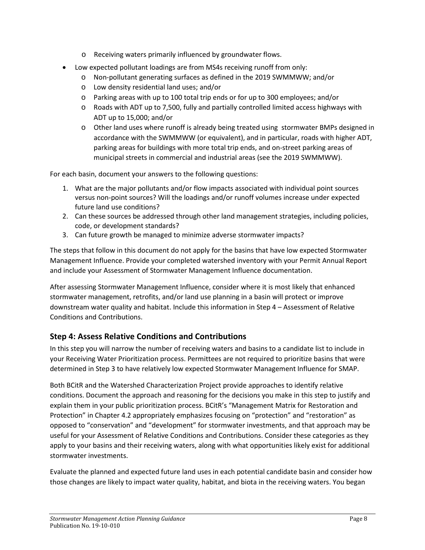- o Receiving waters primarily influenced by groundwater flows.
- Low expected pollutant loadings are from MS4s receiving runoff from only:
	- o Non-pollutant generating surfaces as defined in the 2019 SWMMWW; and/or
	- o Low density residential land uses; and/or
	- o Parking areas with up to 100 total trip ends or for up to 300 employees; and/or
	- o Roads with ADT up to 7,500, fully and partially controlled limited access highways with ADT up to 15,000; and/or
	- o Other land uses where runoff is already being treated using stormwater BMPs designed in accordance with the SWMMWW (or equivalent), and in particular, roads with higher ADT, parking areas for buildings with more total trip ends, and on-street parking areas of municipal streets in commercial and industrial areas (see the 2019 SWMMWW).

For each basin, document your answers to the following questions:

- 1. What are the major pollutants and/or flow impacts associated with individual point sources versus non-point sources? Will the loadings and/or runoff volumes increase under expected future land use conditions?
- 2. Can these sources be addressed through other land management strategies, including policies, code, or development standards?
- 3. Can future growth be managed to minimize adverse stormwater impacts?

The steps that follow in this document do not apply for the basins that have low expected Stormwater Management Influence. Provide your completed watershed inventory with your Permit Annual Report and include your Assessment of Stormwater Management Influence documentation.

After assessing Stormwater Management Influence, consider where it is most likely that enhanced stormwater management, retrofits, and/or land use planning in a basin will protect or improve downstream water quality and habitat. Include this information in Step 4 – Assessment of Relative Conditions and Contributions.

## <span id="page-13-0"></span>**Step 4: Assess Relative Conditions and Contributions**

In this step you will narrow the number of receiving waters and basins to a candidate list to include in your Receiving Water Prioritization process. Permittees are not required to prioritize basins that were determined in Step 3 to have relatively low expected Stormwater Management Influence for SMAP.

Both BCitR and the Watershed Characterization Project provide approaches to identify relative conditions. Document the approach and reasoning for the decisions you make in this step to justify and explain them in your public prioritization process. BCitR's "Management Matrix for Restoration and Protection" in Chapter 4.2 appropriately emphasizes focusing on "protection" and "restoration" as opposed to "conservation" and "development" for stormwater investments, and that approach may be useful for your Assessment of Relative Conditions and Contributions. Consider these categories as they apply to your basins and their receiving waters, along with what opportunities likely exist for additional stormwater investments.

Evaluate the planned and expected future land uses in each potential candidate basin and consider how those changes are likely to impact water quality, habitat, and biota in the receiving waters. You began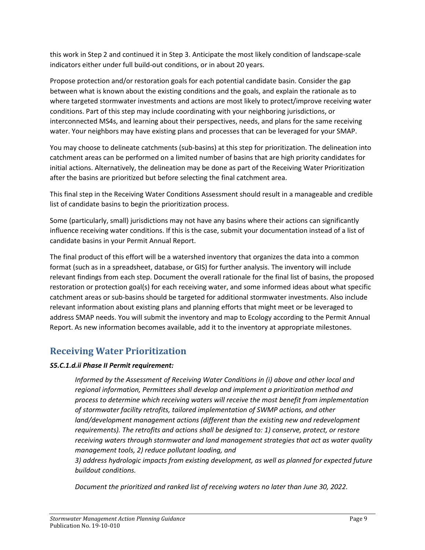this work in Step 2 and continued it in Step 3. Anticipate the most likely condition of landscape-scale indicators either under full build-out conditions, or in about 20 years.

Propose protection and/or restoration goals for each potential candidate basin. Consider the gap between what is known about the existing conditions and the goals, and explain the rationale as to where targeted stormwater investments and actions are most likely to protect/improve receiving water conditions. Part of this step may include coordinating with your neighboring jurisdictions, or interconnected MS4s, and learning about their perspectives, needs, and plans for the same receiving water. Your neighbors may have existing plans and processes that can be leveraged for your SMAP.

You may choose to delineate catchments (sub-basins) at this step for prioritization. The delineation into catchment areas can be performed on a limited number of basins that are high priority candidates for initial actions. Alternatively, the delineation may be done as part of the Receiving Water Prioritization after the basins are prioritized but before selecting the final catchment area.

This final step in the Receiving Water Conditions Assessment should result in a manageable and credible list of candidate basins to begin the prioritization process.

Some (particularly, small) jurisdictions may not have any basins where their actions can significantly influence receiving water conditions. If this is the case, submit your documentation instead of a list of candidate basins in your Permit Annual Report.

The final product of this effort will be a watershed inventory that organizes the data into a common format (such as in a spreadsheet, database, or GIS) for further analysis. The inventory will include relevant findings from each step. Document the overall rationale for the final list of basins, the proposed restoration or protection goal(s) for each receiving water, and some informed ideas about what specific catchment areas or sub-basins should be targeted for additional stormwater investments. Also include relevant information about existing plans and planning efforts that might meet or be leveraged to address SMAP needs. You will submit the inventory and map to Ecology according to the Permit Annual Report. As new information becomes available, add it to the inventory at appropriate milestones.

## <span id="page-14-0"></span>**Receiving Water Prioritization**

#### *S5.C.1.d.ii Phase II Permit requirement:*

*Informed by the Assessment of Receiving Water Conditions in (i) above and other local and regional information, Permittees shall develop and implement a prioritization method and process to determine which receiving waters will receive the most benefit from implementation of stormwater facility retrofits, tailored implementation of SWMP actions, and other land/development management actions (different than the existing new and redevelopment requirements). The retrofits and actions shall be designed to: 1) conserve, protect, or restore receiving waters through stormwater and land management strategies that act as water quality management tools, 2) reduce pollutant loading, and* 

*3) address hydrologic impacts from existing development, as well as planned for expected future buildout conditions.*

*Document the prioritized and ranked list of receiving waters no later than June 30, 2022.*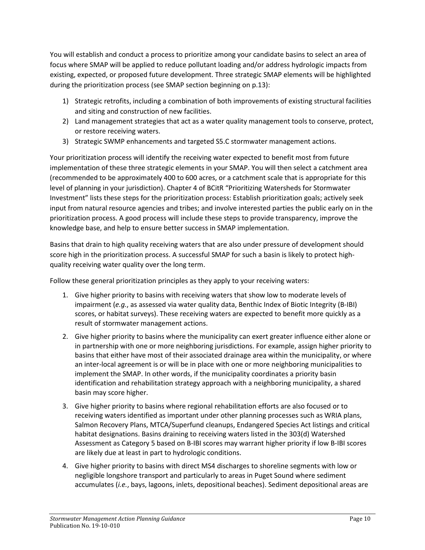You will establish and conduct a process to prioritize among your candidate basins to select an area of focus where SMAP will be applied to reduce pollutant loading and/or address hydrologic impacts from existing, expected, or proposed future development. Three strategic SMAP elements will be highlighted during the prioritization process (see SMAP section beginning on p.13):

- 1) Strategic retrofits, including a combination of both improvements of existing structural facilities and siting and construction of new facilities.
- 2) Land management strategies that act as a water quality management tools to conserve, protect, or restore receiving waters.
- 3) Strategic SWMP enhancements and targeted S5.C stormwater management actions.

Your prioritization process will identify the receiving water expected to benefit most from future implementation of these three strategic elements in your SMAP. You will then select a catchment area (recommended to be approximately 400 to 600 acres, or a catchment scale that is appropriate for this level of planning in your jurisdiction). Chapter 4 of BCitR "Prioritizing Watersheds for Stormwater Investment" lists these steps for the prioritization process: Establish prioritization goals; actively seek input from natural resource agencies and tribes; and involve interested parties the public early on in the prioritization process. A good process will include these steps to provide transparency, improve the knowledge base, and help to ensure better success in SMAP implementation.

Basins that drain to high quality receiving waters that are also under pressure of development should score high in the prioritization process. A successful SMAP for such a basin is likely to protect highquality receiving water quality over the long term.

Follow these general prioritization principles as they apply to your receiving waters:

- 1. Give higher priority to basins with receiving waters that show low to moderate levels of impairment (*e.g.*, as assessed via water quality data, Benthic Index of Biotic Integrity (B-IBI) scores, or habitat surveys). These receiving waters are expected to benefit more quickly as a result of stormwater management actions.
- 2. Give higher priority to basins where the municipality can exert greater influence either alone or in partnership with one or more neighboring jurisdictions. For example, assign higher priority to basins that either have most of their associated drainage area within the municipality, or where an inter-local agreement is or will be in place with one or more neighboring municipalities to implement the SMAP. In other words, if the municipality coordinates a priority basin identification and rehabilitation strategy approach with a neighboring municipality, a shared basin may score higher.
- 3. Give higher priority to basins where regional rehabilitation efforts are also focused or to receiving waters identified as important under other planning processes such as WRIA plans, Salmon Recovery Plans, MTCA/Superfund cleanups, Endangered Species Act listings and critical habitat designations. Basins draining to receiving waters listed in the 303(d) Watershed Assessment as Category 5 based on B-IBI scores may warrant higher priority if low B-IBI scores are likely due at least in part to hydrologic conditions.
- 4. Give higher priority to basins with direct MS4 discharges to shoreline segments with low or negligible longshore transport and particularly to areas in Puget Sound where sediment accumulates (*i.e.*, bays, lagoons, inlets, depositional beaches). Sediment depositional areas are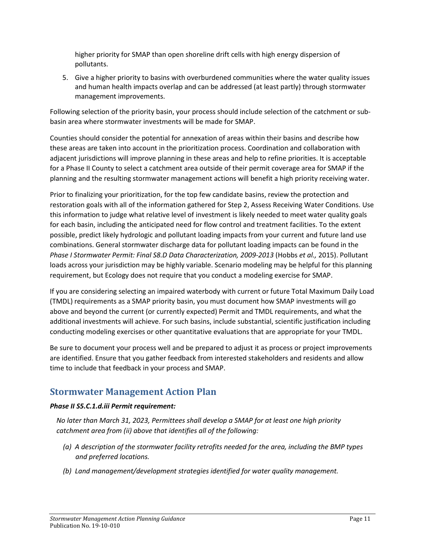higher priority for SMAP than open shoreline drift cells with high energy dispersion of pollutants.

5. Give a higher priority to basins with overburdened communities where the water quality issues and human health impacts overlap and can be addressed (at least partly) through stormwater management improvements.

Following selection of the priority basin, your process should include selection of the catchment or subbasin area where stormwater investments will be made for SMAP.

Counties should consider the potential for annexation of areas within their basins and describe how these areas are taken into account in the prioritization process. Coordination and collaboration with adjacent jurisdictions will improve planning in these areas and help to refine priorities. It is acceptable for a Phase II County to select a catchment area outside of their permit coverage area for SMAP if the planning and the resulting stormwater management actions will benefit a high priority receiving water.

Prior to finalizing your prioritization, for the top few candidate basins, review the protection and restoration goals with all of the information gathered for Step 2, Assess Receiving Water Conditions. Use this information to judge what relative level of investment is likely needed to meet water quality goals for each basin, including the anticipated need for flow control and treatment facilities. To the extent possible, predict likely hydrologic and pollutant loading impacts from your current and future land use combinations. General stormwater discharge data for pollutant loading impacts can be found in the *Phase I Stormwater Permit: Final S8.D Data Characterization, 2009-2013* (Hobbs *et al.,* 2015). Pollutant loads across your jurisdiction may be highly variable. Scenario modeling may be helpful for this planning requirement, but Ecology does not require that you conduct a modeling exercise for SMAP.

If you are considering selecting an impaired waterbody with current or future Total Maximum Daily Load (TMDL) requirements as a SMAP priority basin, you must document how SMAP investments will go above and beyond the current (or currently expected) Permit and TMDL requirements, and what the additional investments will achieve. For such basins, include substantial, scientific justification including conducting modeling exercises or other quantitative evaluations that are appropriate for your TMDL.

Be sure to document your process well and be prepared to adjust it as process or project improvements are identified. Ensure that you gather feedback from interested stakeholders and residents and allow time to include that feedback in your process and SMAP.

## <span id="page-16-0"></span>**Stormwater Management Action Plan**

#### *Phase II S5.C.1.d.iii Permit requirement:*

*No later than March 31, 2023, Permittees shall develop a SMAP for at least one high priority catchment area from (ii) above that identifies all of the following:*

- *(a) A description of the stormwater facility retrofits needed for the area, including the BMP types and preferred locations.*
- *(b) Land management/development strategies identified for water quality management.*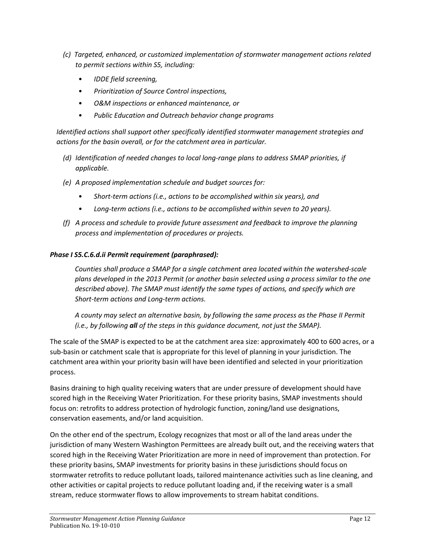- *(c) Targeted, enhanced, or customized implementation of stormwater management actions related to permit sections within S5, including:*
	- *IDDE field screening,*
	- *Prioritization of Source Control inspections,*
	- *O&M inspections or enhanced maintenance, or*
	- *Public Education and Outreach behavior change programs*

*Identified actions shall support other specifically identified stormwater management strategies and actions for the basin overall, or for the catchment area in particular.*

- *(d) Identification of needed changes to local long-range plans to address SMAP priorities, if applicable.*
- *(e) A proposed implementation schedule and budget sources for:* 
	- *Short-term actions (i.e., actions to be accomplished within six years), and*
	- *Long-term actions (i.e., actions to be accomplished within seven to 20 years).*
- *(f) A process and schedule to provide future assessment and feedback to improve the planning process and implementation of procedures or projects.*

#### *Phase I S5.C.6.d.ii Permit requirement (paraphrased):*

*Counties shall produce a SMAP for a single catchment area located within the watershed-scale plans developed in the 2013 Permit (or another basin selected using a process similar to the one described above). The SMAP must identify the same types of actions, and specify which are Short-term actions and Long-term actions.*

*A county may select an alternative basin, by following the same process as the Phase II Permit (i.e., by following all of the steps in this guidance document, not just the SMAP).*

The scale of the SMAP is expected to be at the catchment area size: approximately 400 to 600 acres, or a sub-basin or catchment scale that is appropriate for this level of planning in your jurisdiction. The catchment area within your priority basin will have been identified and selected in your prioritization process.

Basins draining to high quality receiving waters that are under pressure of development should have scored high in the Receiving Water Prioritization. For these priority basins, SMAP investments should focus on: retrofits to address protection of hydrologic function, zoning/land use designations, conservation easements, and/or land acquisition.

On the other end of the spectrum, Ecology recognizes that most or all of the land areas under the jurisdiction of many Western Washington Permittees are already built out, and the receiving waters that scored high in the Receiving Water Prioritization are more in need of improvement than protection. For these priority basins, SMAP investments for priority basins in these jurisdictions should focus on stormwater retrofits to reduce pollutant loads, tailored maintenance activities such as line cleaning, and other activities or capital projects to reduce pollutant loading and, if the receiving water is a small stream, reduce stormwater flows to allow improvements to stream habitat conditions.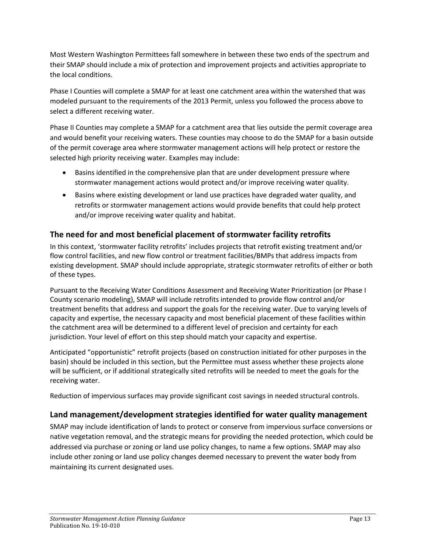Most Western Washington Permittees fall somewhere in between these two ends of the spectrum and their SMAP should include a mix of protection and improvement projects and activities appropriate to the local conditions.

Phase I Counties will complete a SMAP for at least one catchment area within the watershed that was modeled pursuant to the requirements of the 2013 Permit, unless you followed the process above to select a different receiving water.

Phase II Counties may complete a SMAP for a catchment area that lies outside the permit coverage area and would benefit your receiving waters. These counties may choose to do the SMAP for a basin outside of the permit coverage area where stormwater management actions will help protect or restore the selected high priority receiving water. Examples may include:

- Basins identified in the comprehensive plan that are under development pressure where stormwater management actions would protect and/or improve receiving water quality.
- Basins where existing development or land use practices have degraded water quality, and retrofits or stormwater management actions would provide benefits that could help protect and/or improve receiving water quality and habitat.

## <span id="page-18-0"></span>**The need for and most beneficial placement of stormwater facility retrofits**

In this context, 'stormwater facility retrofits' includes projects that retrofit existing treatment and/or flow control facilities, and new flow control or treatment facilities/BMPs that address impacts from existing development. SMAP should include appropriate, strategic stormwater retrofits of either or both of these types.

Pursuant to the Receiving Water Conditions Assessment and Receiving Water Prioritization (or Phase I County scenario modeling), SMAP will include retrofits intended to provide flow control and/or treatment benefits that address and support the goals for the receiving water. Due to varying levels of capacity and expertise, the necessary capacity and most beneficial placement of these facilities within the catchment area will be determined to a different level of precision and certainty for each jurisdiction. Your level of effort on this step should match your capacity and expertise.

Anticipated "opportunistic" retrofit projects (based on construction initiated for other purposes in the basin) should be included in this section, but the Permittee must assess whether these projects alone will be sufficient, or if additional strategically sited retrofits will be needed to meet the goals for the receiving water.

Reduction of impervious surfaces may provide significant cost savings in needed structural controls.

#### <span id="page-18-1"></span>**Land management/development strategies identified for water quality management**

SMAP may include identification of lands to protect or conserve from impervious surface conversions or native vegetation removal, and the strategic means for providing the needed protection, which could be addressed via purchase or zoning or land use policy changes, to name a few options. SMAP may also include other zoning or land use policy changes deemed necessary to prevent the water body from maintaining its current designated uses.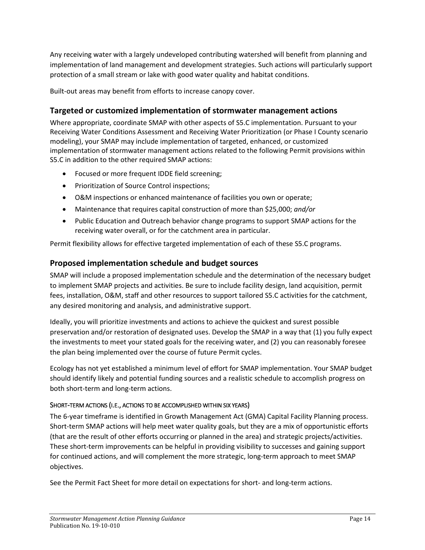Any receiving water with a largely undeveloped contributing watershed will benefit from planning and implementation of land management and development strategies. Such actions will particularly support protection of a small stream or lake with good water quality and habitat conditions.

Built-out areas may benefit from efforts to increase canopy cover.

#### <span id="page-19-0"></span>**Targeted or customized implementation of stormwater management actions**

Where appropriate, coordinate SMAP with other aspects of S5.C implementation. Pursuant to your Receiving Water Conditions Assessment and Receiving Water Prioritization (or Phase I County scenario modeling), your SMAP may include implementation of targeted, enhanced, or customized implementation of stormwater management actions related to the following Permit provisions within S5.C in addition to the other required SMAP actions:

- Focused or more frequent IDDE field screening;
- Prioritization of Source Control inspections;
- O&M inspections or enhanced maintenance of facilities you own or operate;
- Maintenance that requires capital construction of more than \$25,000; *and/or*
- Public Education and Outreach behavior change programs to support SMAP actions for the receiving water overall, or for the catchment area in particular.

Permit flexibility allows for effective targeted implementation of each of these S5.C programs.

#### <span id="page-19-1"></span>**Proposed implementation schedule and budget sources**

SMAP will include a proposed implementation schedule and the determination of the necessary budget to implement SMAP projects and activities. Be sure to include facility design, land acquisition, permit fees, installation, O&M, staff and other resources to support tailored S5.C activities for the catchment, any desired monitoring and analysis, and administrative support.

Ideally, you will prioritize investments and actions to achieve the quickest and surest possible preservation and/or restoration of designated uses. Develop the SMAP in a way that (1) you fully expect the investments to meet your stated goals for the receiving water, and (2) you can reasonably foresee the plan being implemented over the course of future Permit cycles.

Ecology has not yet established a minimum level of effort for SMAP implementation. Your SMAP budget should identify likely and potential funding sources and a realistic schedule to accomplish progress on both short-term and long-term actions.

#### SHORT-TERM ACTIONS (I.E., ACTIONS TO BE ACCOMPLISHED WITHIN SIX YEARS)

The 6-year timeframe is identified in Growth Management Act (GMA) Capital Facility Planning process. Short-term SMAP actions will help meet water quality goals, but they are a mix of opportunistic efforts (that are the result of other efforts occurring or planned in the area) and strategic projects/activities. These short-term improvements can be helpful in providing visibility to successes and gaining support for continued actions, and will complement the more strategic, long-term approach to meet SMAP objectives.

See the Permit Fact Sheet for more detail on expectations for short- and long-term actions.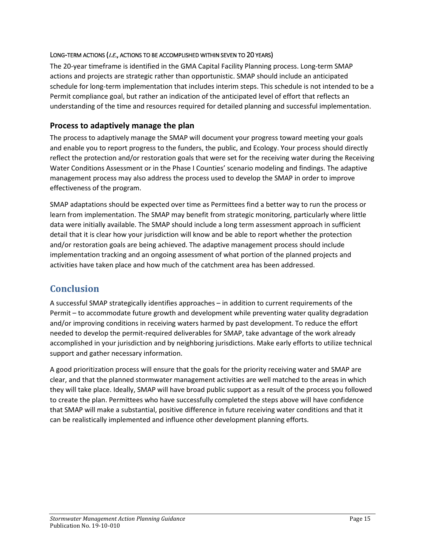#### LONG-TERM ACTIONS (I.E., ACTIONS TO BE ACCOMPLISHED WITHIN SEVEN TO 20 YEARS)

The 20-year timeframe is identified in the GMA Capital Facility Planning process. Long-term SMAP actions and projects are strategic rather than opportunistic. SMAP should include an anticipated schedule for long-term implementation that includes interim steps. This schedule is not intended to be a Permit compliance goal, but rather an indication of the anticipated level of effort that reflects an understanding of the time and resources required for detailed planning and successful implementation.

#### <span id="page-20-0"></span>**Process to adaptively manage the plan**

The process to adaptively manage the SMAP will document your progress toward meeting your goals and enable you to report progress to the funders, the public, and Ecology. Your process should directly reflect the protection and/or restoration goals that were set for the receiving water during the Receiving Water Conditions Assessment or in the Phase I Counties' scenario modeling and findings. The adaptive management process may also address the process used to develop the SMAP in order to improve effectiveness of the program.

SMAP adaptations should be expected over time as Permittees find a better way to run the process or learn from implementation. The SMAP may benefit from strategic monitoring, particularly where little data were initially available. The SMAP should include a long term assessment approach in sufficient detail that it is clear how your jurisdiction will know and be able to report whether the protection and/or restoration goals are being achieved. The adaptive management process should include implementation tracking and an ongoing assessment of what portion of the planned projects and activities have taken place and how much of the catchment area has been addressed.

## <span id="page-20-1"></span>**Conclusion**

A successful SMAP strategically identifies approaches – in addition to current requirements of the Permit – to accommodate future growth and development while preventing water quality degradation and/or improving conditions in receiving waters harmed by past development. To reduce the effort needed to develop the permit-required deliverables for SMAP, take advantage of the work already accomplished in your jurisdiction and by neighboring jurisdictions. Make early efforts to utilize technical support and gather necessary information.

A good prioritization process will ensure that the goals for the priority receiving water and SMAP are clear, and that the planned stormwater management activities are well matched to the areas in which they will take place. Ideally, SMAP will have broad public support as a result of the process you followed to create the plan. Permittees who have successfully completed the steps above will have confidence that SMAP will make a substantial, positive difference in future receiving water conditions and that it can be realistically implemented and influence other development planning efforts.